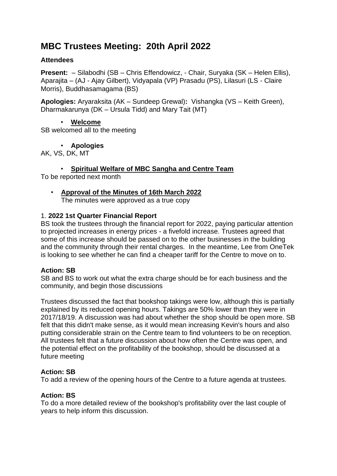# **MBC Trustees Meeting: 20th April 2022**

## **Attendees**

**Present:** – Silabodhi (SB – Chris Effendowicz, - Chair, Suryaka (SK – Helen Ellis), Aparajita – (AJ - Ajay Gilbert), Vidyapala (VP) Prasadu (PS), Lilasuri (LS - Claire Morris), Buddhasamagama (BS)

**Apologies:** Aryaraksita (AK – Sundeep Grewal)**:** Vishangka (VS – Keith Green), Dharmakarunya (DK – Ursula Tidd) and Mary Tait (MT)

• **Welcome** SB welcomed all to the meeting

• **Apologies**

AK, VS, DK, MT

• **Spiritual Welfare of MBC Sangha and Centre Team**

To be reported next month

• **Approval of the Minutes of 16th March 2022** The minutes were approved as a true copy

## 1. **2022 1st Quarter Financial Report**

BS took the trustees through the financial report for 2022, paying particular attention to projected increases in energy prices - a fivefold increase. Trustees agreed that some of this increase should be passed on to the other businesses in the building and the community through their rental charges. In the meantime, Lee from OneTek is looking to see whether he can find a cheaper tariff for the Centre to move on to.

#### **Action: SB**

SB and BS to work out what the extra charge should be for each business and the community, and begin those discussions

Trustees discussed the fact that bookshop takings were low, although this is partially explained by its reduced opening hours. Takings are 50% lower than they were in 2017/18/19. A discussion was had about whether the shop should be open more. SB felt that this didn't make sense, as it would mean increasing Kevin's hours and also putting considerable strain on the Centre team to find volunteers to be on reception. All trustees felt that a future discussion about how often the Centre was open, and the potential effect on the profitability of the bookshop, should be discussed at a future meeting

# **Action: SB**

To add a review of the opening hours of the Centre to a future agenda at trustees.

# **Action: BS**

To do a more detailed review of the bookshop's profitability over the last couple of years to help inform this discussion.